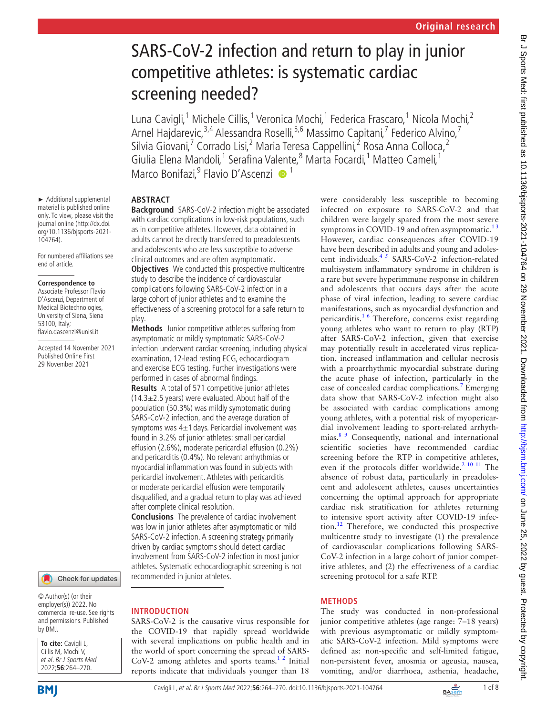# SARS-CoV-2 infection and return to play in junior competitive athletes: is systematic cardiac screening needed?

Luna Cavigli,<sup>1</sup> Michele Cillis,<sup>1</sup> Veronica Mochi,<sup>1</sup> Federica Frascaro,<sup>1</sup> Nicola Mochi,<sup>2</sup> Arnel Hajdarevic,<sup>3,4</sup> Alessandra Roselli,<sup>5,6</sup> Massimo Capitani,<sup>7</sup> Federico Alvino,<sup>7</sup> Silvia Giovani,<sup>7</sup> Corrado Lisi,<sup>2</sup> Maria Teresa Cappellini,<sup>2</sup> Rosa Anna Colloca,<sup>2</sup> Giulia Elena Mandoli,<sup>1</sup> Serafina Valente,<sup>8</sup> Marta Focardi,<sup>1</sup> Matteo Cameli,<sup>1</sup> Marco Bonifazi, <sup>9</sup> Flavio D'Ascenzi <sup>1</sup>

# **ABSTRACT**

**Background** SARS-CoV-2 infection might be associated with cardiac complications in low-risk populations, such as in competitive athletes. However, data obtained in adults cannot be directly transferred to preadolescents and adolescents who are less susceptible to adverse clinical outcomes and are often asymptomatic.

**Objectives** We conducted this prospective multicentre study to describe the incidence of cardiovascular complications following SARS-CoV-2 infection in a large cohort of junior athletes and to examine the effectiveness of a screening protocol for a safe return to play.

**Methods** Junior competitive athletes suffering from asymptomatic or mildly symptomatic SARS-CoV-2 infection underwent cardiac screening, including physical examination, 12-lead resting ECG, echocardiogram and exercise ECG testing. Further investigations were performed in cases of abnormal findings.

**Results** A total of 571 competitive junior athletes  $(14.3\pm2.5$  years) were evaluated. About half of the population (50.3%) was mildly symptomatic during SARS-CoV-2 infection, and the average duration of symptoms was  $4\pm1$  days. Pericardial involvement was found in 3.2% of junior athletes: small pericardial effusion (2.6%), moderate pericardial effusion (0.2%) and pericarditis (0.4%). No relevant arrhythmias or myocardial inflammation was found in subjects with pericardial involvement. Athletes with pericarditis or moderate pericardial effusion were temporarily disqualified, and a gradual return to play was achieved after complete clinical resolution.

**Conclusions** The prevalence of cardiac involvement was low in junior athletes after asymptomatic or mild SARS-CoV-2 infection. A screening strategy primarily driven by cardiac symptoms should detect cardiac involvement from SARS-CoV-2 infection in most junior athletes. Systematic echocardiographic screening is not recommended in junior athletes.

## **INTRODUCTION**

SARS-CoV-2 is the causative virus responsible for the COVID-19 that rapidly spread worldwide with several implications on public health and in the world of sport concerning the spread of SARS-CoV-2 among athletes and sports teams.<sup>12</sup> Initial reports indicate that individuals younger than 18

were considerably less susceptible to becoming infected on exposure to SARS-CoV-2 and that children were largely spared from the most severe symptoms in COVID-19 and often asymptomatic. $13$ However, cardiac consequences after COVID-19 have been described in adults and young and adolescent individuals.[4 5](#page-6-1) SARS-CoV-2 infection-related multisystem inflammatory syndrome in children is a rare but severe hyperimmune response in children and adolescents that occurs days after the acute phase of viral infection, leading to severe cardiac manifestations, such as myocardial dysfunction and pericarditis[.1 6](#page-6-0) Therefore, concerns exist regarding young athletes who want to return to play (RTP) after SARS-CoV-2 infection, given that exercise may potentially result in accelerated virus replication, increased inflammation and cellular necrosis with a proarrhythmic myocardial substrate during the acute phase of infection, particularly in the case of concealed cardiac complications.<sup>[7](#page-6-2)</sup> Emerging data show that SARS-CoV-2 infection might also be associated with cardiac complications among young athletes, with a potential risk of myopericardial involvement leading to sport-related arrhythmias.<sup>8</sup> 9 Consequently, national and international scientific societies have recommended cardiac screening before the RTP in competitive athletes, even if the protocols differ worldwide.<sup>2 10 11</sup> The absence of robust data, particularly in preadolescent and adolescent athletes, causes uncertainties concerning the optimal approach for appropriate cardiac risk stratification for athletes returning to intensive sport activity after COVID-19 infection.[12](#page-7-0) Therefore, we conducted this prospective multicentre study to investigate (1) the prevalence of cardiovascular complications following SARS-CoV-2 infection in a large cohort of junior competitive athletes, and (2) the effectiveness of a cardiac screening protocol for a safe RTP.

## **METHODS**

The study was conducted in non-professional junior competitive athletes (age range: 7–18 years) with previous asymptomatic or mildly symptomatic SARS-CoV-2 infection. Mild symptoms were defined as: non-specific and self-limited fatigue, non-persistent fever, anosmia or ageusia, nausea, vomiting, and/or diarrhoea, asthenia, headache,

► Additional supplemental material is published online only. To view, please visit the journal online ([http://dx.doi.](http://dx.doi.org/10.1136/bjsports-2021-104764) [org/10.1136/bjsports-2021-](http://dx.doi.org/10.1136/bjsports-2021-104764) [104764](http://dx.doi.org/10.1136/bjsports-2021-104764)).

For numbered affiliations see end of article.

#### **Correspondence to**

Associate Professor Flavio D'Ascenzi, Department of Medical Biotechnologies, University of Siena, Siena 53100, Italy; flavio.dascenzi@unisi.it

Accepted 14 November 2021 Published Online First 29 November 2021

#### Check for updates

© Author(s) (or their employer(s)) 2022. No commercial re-use. See rights and permissions. Published by BMJ.

| To cite: Cavigli L,    |
|------------------------|
| Cillis M, Mochi V,     |
| et al. Br J Sports Med |
| 2022;56:264-270.       |

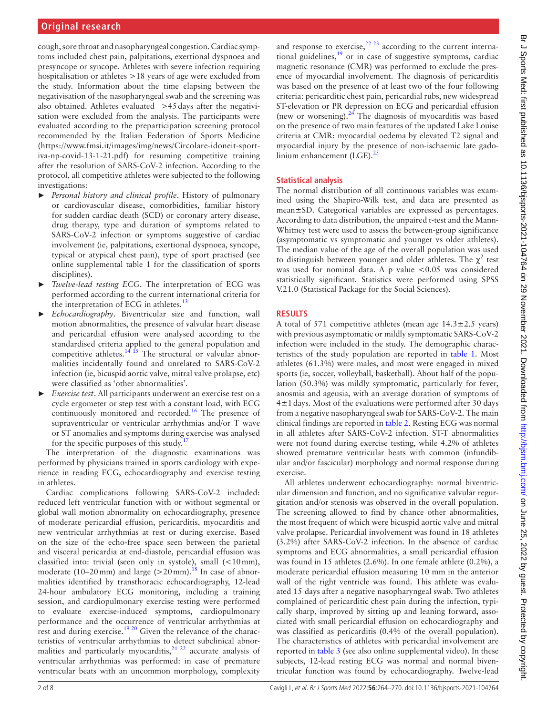cough, sore throat and nasopharyngeal congestion. Cardiac symptoms included chest pain, palpitations, exertional dyspnoea and presyncope or syncope. Athletes with severe infection requiring hospitalisation or athletes >18 years of age were excluded from the study. Information about the time elapsing between the negativisation of the nasopharyngeal swab and the screening was also obtained. Athletes evaluated >45days after the negativisation were excluded from the analysis. The participants were evaluated according to the preparticipation screening protocol recommended by the Italian Federation of Sports Medicine ([https://www.fmsi.it/images/img/news/Circolare-idoneit-sport](https://www.fmsi.it/images/img/news/Circolare-idoneit-sportiva-np-covid-13-1-21.pdf)[iva-np-covid-13-1-21.pdf\)](https://www.fmsi.it/images/img/news/Circolare-idoneit-sportiva-np-covid-13-1-21.pdf) for resuming competitive training after the resolution of SARS-CoV-2 infection. According to the protocol, all competitive athletes were subjected to the following investigations:

- ► *Personal history and clinical profile*. History of pulmonary or cardiovascular disease, comorbidities, familiar history for sudden cardiac death (SCD) or coronary artery disease, drug therapy, type and duration of symptoms related to SARS-CoV-2 infection or symptoms suggestive of cardiac involvement (ie, palpitations, exertional dyspnoea, syncope, typical or atypical chest pain), type of sport practised (see [online supplemental table 1](https://dx.doi.org/10.1136/bjsports-2021-104764) for the classification of sports disciplines).
- Twelve-lead resting ECG. The interpretation of ECG was performed according to the current international criteria for the interpretation of ECG in athletes.<sup>[13](#page-7-1)</sup>
- ► *Echocardiography*. Biventricular size and function, wall motion abnormalities, the presence of valvular heart disease and pericardial effusion were analysed according to the standardised criteria applied to the general population and competitive athletes.<sup>14 15</sup> The structural or valvular abnormalities incidentally found and unrelated to SARS-CoV-2 infection (ie, bicuspid aortic valve, mitral valve prolapse, etc) were classified as 'other abnormalities'.
- ► *Exercise test*. All participants underwent an exercise test on a cycle ergometer or step test with a constant load, with ECG continuously monitored and recorded.<sup>16</sup> The presence of supraventricular or ventricular arrhythmias and/or T wave or ST anomalies and symptoms during exercise was analysed for the specific purposes of this study.<sup>1</sup>

The interpretation of the diagnostic examinations was performed by physicians trained in sports cardiology with experience in reading ECG, echocardiography and exercise testing in athletes.

Cardiac complications following SARS-CoV-2 included: reduced left ventricular function with or without segmental or global wall motion abnormality on echocardiography, presence of moderate pericardial effusion, pericarditis, myocarditis and new ventricular arrhythmias at rest or during exercise. Based on the size of the echo-free space seen between the parietal and visceral pericardia at end-diastole, pericardial effusion was classified into: trivial (seen only in systole), small (<10mm), moderate (10–20 mm) and large ( $>$ 20 mm).<sup>[18](#page-7-5)</sup> In case of abnormalities identified by transthoracic echocardiography, 12-lead 24-hour ambulatory ECG monitoring, including a training session, and cardiopulmonary exercise testing were performed to evaluate exercise-induced symptoms, cardiopulmonary performance and the occurrence of ventricular arrhythmias at rest and during exercise.<sup>19 20</sup> Given the relevance of the characteristics of ventricular arrhythmias to detect subclinical abnormalities and particularly myocarditis, $^{21}$   $^{22}$  accurate analysis of ventricular arrhythmias was performed: in case of premature ventricular beats with an uncommon morphology, complexity

and response to exercise,  $22 \times 23$  according to the current international guidelines, $19$  or in case of suggestive symptoms, cardiac magnetic resonance (CMR) was performed to exclude the presence of myocardial involvement. The diagnosis of pericarditis was based on the presence of at least two of the four following criteria: pericarditic chest pain, pericardial rubs, new widespread ST-elevation or PR depression on ECG and pericardial effusion (new or worsening). $^{24}$  The diagnosis of myocarditis was based on the presence of two main features of the updated Lake Louise criteria at CMR: myocardial oedema by elevated T2 signal and myocardial injury by the presence of non-ischaemic late gadolinium enhancement  $(LGE).$ <sup>25</sup>

# **Statistical analysis**

The normal distribution of all continuous variables was examined using the Shapiro-Wilk test, and data are presented as mean±SD. Categorical variables are expressed as percentages. According to data distribution, the unpaired t-test and the Mann-Whitney test were used to assess the between-group significance (asymptomatic vs symptomatic and younger vs older athletes). The median value of the age of the overall population was used to distinguish between younger and older athletes. The  $\chi^2$  test was used for nominal data. A p value  $< 0.05$  was considered statistically significant. Statistics were performed using SPSS V.21.0 (Statistical Package for the Social Sciences).

# **RESULTS**

A total of 571 competitive athletes (mean age  $14.3 \pm 2.5$  years) with previous asymptomatic or mildly symptomatic SARS-CoV-2 infection were included in the study. The demographic characteristics of the study population are reported in [table](#page-2-0) 1. Most athletes (61.3%) were males, and most were engaged in mixed sports (ie, soccer, volleyball, basketball). About half of the population (50.3%) was mildly symptomatic, particularly for fever, anosmia and ageusia, with an average duration of symptoms of  $4\pm1$  days. Most of the evaluations were performed after 30 days from a negative nasopharyngeal swab for SARS-CoV-2. The main clinical findings are reported in [table](#page-2-1) 2. Resting ECG was normal in all athletes after SARS-CoV-2 infection. ST-T abnormalities were not found during exercise testing, while 4.2% of athletes showed premature ventricular beats with common (infundibular and/or fascicular) morphology and normal response during exercise.

All athletes underwent echocardiography: normal biventricular dimension and function, and no significative valvular regurgitation and/or stenosis was observed in the overall population. The screening allowed to find by chance other abnormalities, the most frequent of which were bicuspid aortic valve and mitral valve prolapse. Pericardial involvement was found in 18 athletes (3.2%) after SARS-CoV-2 infection. In the absence of cardiac symptoms and ECG abnormalities, a small pericardial effusion was found in 15 athletes (2.6%). In one female athlete (0.2%), a moderate pericardial effusion measuring 10 mm in the anterior wall of the right ventricle was found. This athlete was evaluated 15 days after a negative nasopharyngeal swab. Two athletes complained of pericarditic chest pain during the infection, typically sharp, improved by sitting up and leaning forward, associated with small pericardial effusion on echocardiography and was classified as pericarditis (0.4% of the overall population). The characteristics of athletes with pericardial involvement are reported in [table](#page-3-0) 3 (see also [online supplemental video\)](https://dx.doi.org/10.1136/bjsports-2021-104764). In these subjects, 12-lead resting ECG was normal and normal biventricular function was found by echocardiography. Twelve-lead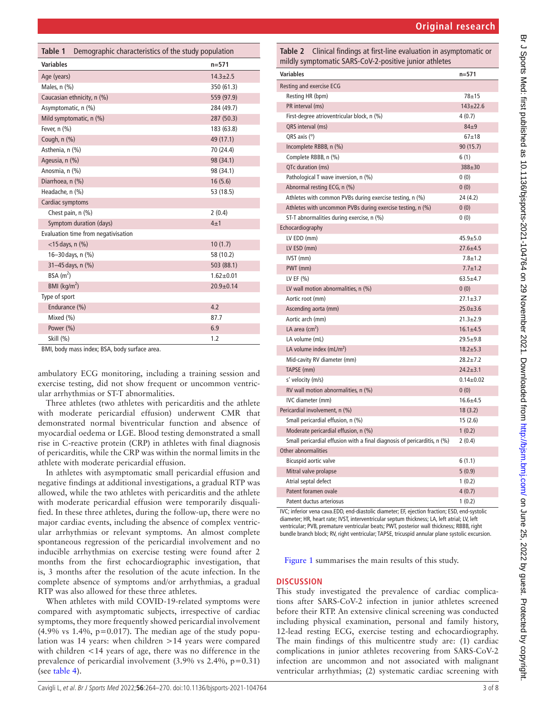uation in asymptomatic or

<span id="page-2-1"></span>

| <b>Variables</b>                                           | $n=571$         |
|------------------------------------------------------------|-----------------|
| <b>Resting and exercise ECG</b>                            |                 |
| Resting HR (bpm)                                           | $78 + 15$       |
| PR interval (ms)                                           | $143 + 22.6$    |
| First-degree atrioventricular block, n (%)                 | 4(0.7)          |
| QRS interval (ms)                                          | $84 + 9$        |
| QRS axis $(°)$                                             | $67 + 18$       |
| Incomplete RBBB, n (%)                                     | 90(15.7)        |
| Complete RBBB, n (%)                                       | 6(1)            |
| QTc duration (ms)                                          | 388±30          |
| Pathological T wave inversion, n (%)                       | 0(0)            |
| Abnormal resting ECG, n (%)                                | 0(0)            |
| Athletes with common PVBs during exercise testing, n (%)   | 24 (4.2)        |
| Athletes with uncommon PVBs during exercise testing, n (%) | 0(0)            |
| ST-T abnormalities during exercise, n (%)                  | 0(0)            |
| Echocardiography                                           |                 |
| LV EDD (mm)                                                | $45.9 + 5.0$    |
| LV ESD (mm)                                                | $27.6 + 4.5$    |
| IVST (mm)                                                  | $7.8 + 1.2$     |
| PWT (mm)                                                   | $7.7 + 1.2$     |
| LV EF $(% )$                                               | $63.5 + 4.7$    |
| LV wall motion abnormalities, n (%)                        | 0(0)            |
| Aortic root (mm)                                           | $27.1 \pm 3.7$  |
| Ascending aorta (mm)                                       | $25.0 + 3.6$    |
| Aortic arch (mm)                                           | $21.3 \pm 2.9$  |
| LA area $(cm2)$                                            | $16.1 \pm 4.5$  |
| LA volume (mL)                                             | $29.5 + 9.8$    |
| LA volume index $(mL/m2)$                                  | $18.2 + 5.3$    |
| Mid-cavity RV diameter (mm)                                | $28.2 + 7.2$    |
| TAPSE (mm)                                                 | $24.2 \pm 3.1$  |
| s' velocity (m/s)                                          | $0.14 \pm 0.02$ |
| RV wall motion abnormalities, n (%)                        | 0(0)            |
| IVC diameter (mm)                                          | $16.6 + 4.5$    |
| $Dericardial involution1 (0/1)$                            | 10(2)           |

|  | Ascending aorta (mm)                                                     | $25.0 + 3.6$   |
|--|--------------------------------------------------------------------------|----------------|
|  | Aortic arch (mm)                                                         | $21.3 + 2.9$   |
|  | LA area $(cm2)$                                                          | $16.1 \pm 4.5$ |
|  | LA volume (mL)                                                           | $29.5 + 9.8$   |
|  | LA volume index $(mL/m2)$                                                | $18.2 + 5.3$   |
|  | Mid-cavity RV diameter (mm)                                              | $28.2 + 7.2$   |
|  | TAPSE (mm)                                                               | $24.2 + 3.1$   |
|  | s' velocity (m/s)                                                        | $0.14 + 0.02$  |
|  | RV wall motion abnormalities, n (%)                                      | 0(0)           |
|  | IVC diameter (mm)                                                        | $16.6 + 4.5$   |
|  | Pericardial involvement, n (%)                                           | 18(3.2)        |
|  | Small pericardial effusion, n (%)                                        | 15(2.6)        |
|  | Moderate pericardial effusion, n (%)                                     | 1(0.2)         |
|  | Small pericardial effusion with a final diagnosis of pericarditis, n (%) | 2(0.4)         |
|  | Other abnormalities                                                      |                |
|  | Bicuspid aortic valve                                                    | 6(1.1)         |
|  | Mitral valve prolapse                                                    | 5(0.9)         |
|  | Atrial septal defect                                                     | 1(0.2)         |

IVC; inferior vena cava.EDD, end-diastolic diameter; EF, ejection fraction; ESD, end-systolic diameter; HR, heart rate; IVST, interventricular septum thickness; LA, left atrial; LV, left ventricular; PVB, premature ventricular beats; PWT, posterior wall thickness; RBBB, right bundle branch block; RV, right ventricular; TAPSE, tricuspid annular plane systolic excursion.

Patent foramen ovale 4 (0.7) Patent ductus arteriosus 1 (0.2)

[Figure](#page-4-1) 1 summarises the main results of this study.

# **DISCUSSION**

This study investigated the prevalence of cardiac complications after SARS-CoV-2 infection in junior athletes screened before their RTP. An extensive clinical screening was conducted including physical examination, personal and family history, 12-lead resting ECG, exercise testing and echocardiography. The main findings of this multicentre study are: (1) cardiac complications in junior athletes recovering from SARS-CoV-2 infection are uncommon and not associated with malignant ventricular arrhythmias; (2) systematic cardiac screening with

<span id="page-2-0"></span>

| Demographic characteristics of the study population<br>Table 1 |                 |  |
|----------------------------------------------------------------|-----------------|--|
| <b>Variables</b>                                               | n=571           |  |
| Age (years)                                                    | $14.3 \pm 2.5$  |  |
| Males, $n$ $(\%)$                                              | 350 (61.3)      |  |
| Caucasian ethnicity, n (%)                                     | 559 (97.9)      |  |
| Asymptomatic, n (%)                                            | 284 (49.7)      |  |
| Mild symptomatic, n (%)                                        | 287 (50.3)      |  |
| Fever, n (%)                                                   | 183 (63.8)      |  |
| Cough, n (%)                                                   | 49 (17.1)       |  |
| Asthenia, n (%)                                                | 70 (24.4)       |  |
| Ageusia, n (%)                                                 | 98 (34.1)       |  |
| Anosmia, n (%)                                                 | 98 (34.1)       |  |
| Diarrhoea, n (%)                                               | 16(5.6)         |  |
| Headache, n (%)                                                | 53 (18.5)       |  |
| Cardiac symptoms                                               |                 |  |
| Chest pain, n (%)                                              | 2(0.4)          |  |
| Symptom duration (days)                                        | $4\pm1$         |  |
| Evaluation time from negativisation                            |                 |  |
| $<$ 15 days, n $(\% )$                                         | 10(1.7)         |  |
| 16-30 days, n (%)                                              | 58 (10.2)       |  |
| 31-45 days, n (%)                                              | 503 (88.1)      |  |
| BSA(m <sup>2</sup> )                                           | $1.62 \pm 0.01$ |  |
| BMI ( $kg/m2$ )                                                | $20.9 \pm 0.14$ |  |
| Type of sport                                                  |                 |  |
| Endurance (%)                                                  | 4.2             |  |
| Mixed (%)                                                      | 87.7            |  |
| Power (%)                                                      | 6.9             |  |
| Skill (%)                                                      | 1.2             |  |
| BML body mass index: BSA, body surface area.                   |                 |  |

BMI, body mass index; BSA, body surface area.

ambulatory ECG monitoring, including a training session and exercise testing, did not show frequent or uncommon ventricular arrhythmias or ST-T abnormalities.

Three athletes (two athletes with pericarditis and the athlete with moderate pericardial effusion) underwent CMR that demonstrated normal biventricular function and absence of myocardial oedema or LGE. Blood testing demonstrated a small rise in C-reactive protein (CRP) in athletes with final diagnosis of pericarditis, while the CRP was within the normal limits in the athlete with moderate pericardial effusion.

In athletes with asymptomatic small pericardial effusion and negative findings at additional investigations, a gradual RTP was allowed, while the two athletes with pericarditis and the athlete with moderate pericardial effusion were temporarily disqualified. In these three athletes, during the follow-up, there were no major cardiac events, including the absence of complex ventricular arrhythmias or relevant symptoms. An almost complete spontaneous regression of the pericardial involvement and no inducible arrhythmias on exercise testing were found after 2 months from the first echocardiographic investigation, that is, 3 months after the resolution of the acute infection. In the complete absence of symptoms and/or arrhythmias, a gradual RTP was also allowed for these three athletes.

When athletes with mild COVID-19-related symptoms were compared with asymptomatic subjects, irrespective of cardiac symptoms, they more frequently showed pericardial involvement  $(4.9\% \text{ vs } 1.4\%, \text{ p} = 0.017)$ . The median age of the study population was 14 years: when children >14 years were compared with children <14 years of age, there was no difference in the prevalence of pericardial involvement (3.9% vs 2.4%, p=0.31) (see [table](#page-4-0) 4).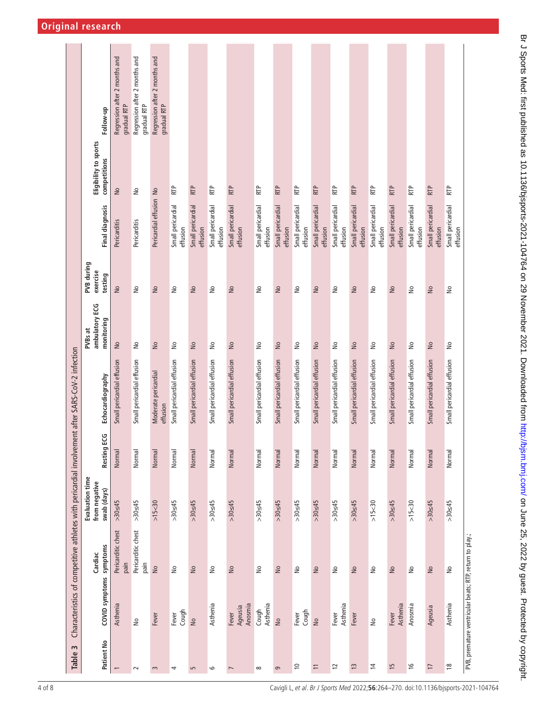<span id="page-3-0"></span>

| Table 3         |                                                         |                               |                                                 |                    | Characteristics of competitive athletes with pericardial involvement after SARS-CoV-2 infection |                                         |                                   |                               |                                       |                                              |
|-----------------|---------------------------------------------------------|-------------------------------|-------------------------------------------------|--------------------|-------------------------------------------------------------------------------------------------|-----------------------------------------|-----------------------------------|-------------------------------|---------------------------------------|----------------------------------------------|
| Patient No      | COVID symptoms symptoms                                 | Cardiac                       | Evaluation time<br>from negative<br>swab (days) | <b>Resting ECG</b> | Echocardiography                                                                                | ambulatory ECG<br>monitoring<br>PVBs at | PVB during<br>exercise<br>testing | <b>Final diagnosis</b>        | Eligibility to sports<br>competitions | Follow-up                                    |
|                 | Asthenia                                                | Pericarditic chest<br>pain    | $>30 \leq 45$                                   | Normal             | Small pericardial effusion                                                                      | $\geq$                                  | $\geq$                            | Pericarditis                  | $\geq$                                | Regression after 2 months and<br>gradual RTP |
| $\sim$          | $\stackrel{\circ}{\simeq}$                              | Pericarditic chest<br>pain    | $>30 \leq 45$                                   | Normal             | Small pericardial effusion                                                                      | $\geq$                                  | $\stackrel{\circ}{\simeq}$        | Pericarditis                  | $\geq$                                | Regression after 2 months and<br>gradual RTP |
| $\sim$          | Fever                                                   | $\frac{1}{2}$                 | >15<30                                          | Normal             | Moderate pericardial<br>effusion                                                                | $\stackrel{\circ}{\simeq}$              | $\frac{1}{2}$                     | Pericardial effusion No       |                                       | Regression after 2 months and<br>gradual RTP |
| 4               | Cough<br>Fever                                          | $\stackrel{\circ}{\simeq}$    | $>30 \leq 45$                                   | Normal             | Small pericardial effusion                                                                      | $\stackrel{\circ}{\simeq}$              | ş                                 | Small pericardial<br>effusion | RTP                                   |                                              |
| $\overline{5}$  | $\frac{1}{2}$                                           | $\frac{1}{2}$                 | $>30 \leq 45$                                   | Normal             | Small pericardial effusion                                                                      | $\geq$                                  | $\geq$                            | Small pericardial<br>effusion | RTP                                   |                                              |
| $\circ$         | Asthenia                                                | $\stackrel{\mathtt{o}}{\geq}$ | $>30 \leq 45$                                   | Normal             | Small pericardial effusion                                                                      | $\stackrel{\circ}{\simeq}$              | ş                                 | Small pericardial<br>effusion | RTP                                   |                                              |
| $\overline{ }$  | Anosmia<br>Ageusia<br>Fever                             | $\frac{1}{2}$                 | $>30 \leq 45$                                   | Normal             | Small pericardial effusion                                                                      | $\frac{1}{2}$                           | $\geq$                            | Small pericardial<br>effusion | <b>RTP</b>                            |                                              |
| ${}^{\circ}$    | Asthenia<br>Cough                                       | $\geq$                        | $>30 \leq 45$                                   | Normal             | Small pericardial effusion                                                                      | $\frac{1}{2}$                           | $\geq$                            | Small pericardial<br>effusion | RTP                                   |                                              |
| $\sigma$        | $\geq$                                                  | $\geq$                        | $>30 \leq 45$                                   | Normal             | Small pericardial effusion                                                                      | $\frac{1}{2}$                           | $\geq$                            | Small pericardial<br>effusion | <b>RTP</b>                            |                                              |
| $\approx$       | Cough<br>Fever                                          | $\geq$                        | $>30 \leq 45$                                   | Normal             | Small pericardial effusion                                                                      | å                                       | ş                                 | Small pericardial<br>effusion | RTP                                   |                                              |
| $\equiv$        | $\frac{1}{2}$                                           | $\geq$                        | $>30 \leq 45$                                   | Normal             | Small pericardial effusion                                                                      | $\frac{1}{2}$                           | $\geq$                            | Small pericardial<br>effusion | <b>RTP</b>                            |                                              |
| $\overline{1}$  | Asthenia<br>Fever                                       | $\geq$                        | $>30 \leq 45$                                   | Normal             | Small pericardial effusion                                                                      | $\geq$                                  | $\geq$                            | Small pericardial<br>effusion | RTP                                   |                                              |
| $\overline{13}$ | Fever                                                   | $\geq$                        | $>30 \leq 45$                                   | Normal             | Small pericardial effusion                                                                      | $\ensuremath{\mathsf{S}}$               | $\geq$                            | Small pericardial<br>effusion | <b>RTP</b>                            |                                              |
| $\overline{4}$  | $\frac{1}{2}$                                           | $\geq$                        | >15 <sub>30</sub>                               | Normal             | Small pericardial effusion                                                                      | $\stackrel{\circ}{\simeq}$              | ş                                 | Small pericardial<br>effusion | RTP                                   |                                              |
| $\overline{1}$  | Asthenia<br>Fever                                       | $\frac{1}{2}$                 | $>30 \leq 45$                                   | Normal             | Small pericardial effusion                                                                      | $\frac{1}{2}$                           | $\geq$                            | Small pericardial<br>effusion | RTP                                   |                                              |
| $\frac{9}{2}$   | Anosmia                                                 | ş                             | $>15$ < 30                                      | Normal             | Small pericardial effusion                                                                      | ٤                                       | ş                                 | Small pericardial<br>effusion | RTP                                   |                                              |
| $\overline{1}$  | Ageusia                                                 | $\geq$                        | $>30 \leq 45$                                   | Normal             | Small pericardial effusion                                                                      | $\geq$                                  | $\geq$                            | Small pericardial<br>effusion | <b>RTP</b>                            |                                              |
| $\frac{8}{10}$  | Asthenia                                                | $\geq$                        | $>30 \leq 45$                                   | Normal             | Small pericardial effusion                                                                      | ş                                       | ş                                 | Small pericardial<br>effusion | RTP                                   |                                              |
|                 | PVB, premature ventricular beats; RTP, return to play.; |                               |                                                 |                    |                                                                                                 |                                         |                                   |                               |                                       |                                              |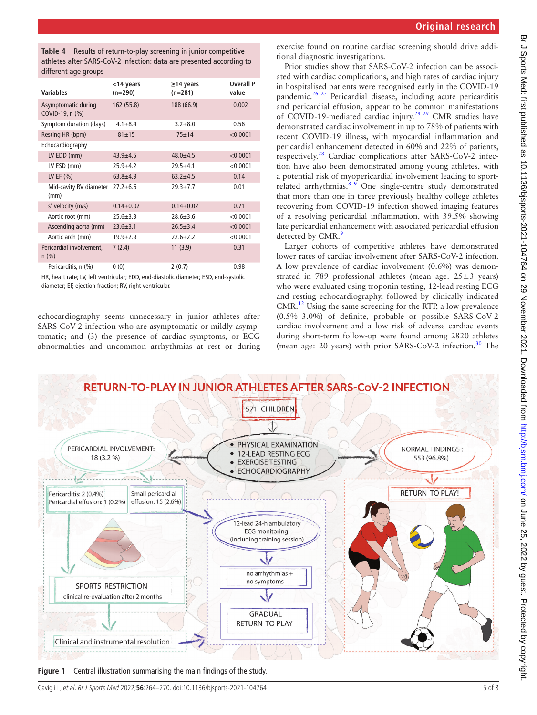<span id="page-4-0"></span>**Table 4** Results of return-to-play screening in junior competitive athletes after SARS-CoV-2 infection: data are presented according to different age groups

| Variables                              | $<$ 14 years<br>$(n=290)$ | $\geq$ 14 years<br>$(n=281)$ | <b>Overall P</b><br>value |
|----------------------------------------|---------------------------|------------------------------|---------------------------|
| Asymptomatic during<br>COVID-19, n (%) | 162 (55.8)                | 188 (66.9)                   | 0.002                     |
| Symptom duration (days)                | $4.1 + 8.4$               | $3.2 + 8.0$                  | 0.56                      |
| Resting HR (bpm)                       | $81 + 15$                 | $75 + 14$                    | < 0.0001                  |
| Echocardiography                       |                           |                              |                           |
| LV EDD (mm)                            | $43.9 + 4.5$              | $48.0 + 4.5$                 | < 0.0001                  |
| LV ESD (mm)                            | $25.9 + 4.2$              | $29.5 + 4.1$                 | < 0.0001                  |
| LV EF $(% )$                           | $63.8 + 4.9$              | $63.2 + 4.5$                 | 0.14                      |
| Mid-cavity RV diameter<br>(mm)         | $27.2 \pm 6.6$            | $29.3 + 7.7$                 | 0.01                      |
| s' velocity (m/s)                      | $0.14 \pm 0.02$           | $0.14 \pm 0.02$              | 0.71                      |
| Aortic root (mm)                       | $25.6 + 3.3$              | $78.6 + 3.6$                 | < 0.0001                  |
| Ascending aorta (mm)                   | $23.6 \pm 3.1$            | $26.5 \pm 3.4$               | < 0.0001                  |
| Aortic arch (mm)                       | $19.9 + 2.9$              | $72.6 + 2.2$                 | < 0.0001                  |
| Pericardial involvement,<br>n (%)      | 7(2.4)                    | 11(3.9)                      | 0.31                      |
| Pericarditis, n (%)                    | 0(0)                      | 2(0.7)                       | 0.98                      |

HR, heart rate; LV, left ventricular; EDD, end-diastolic diameter; ESD, end-systolic diameter; EF, ejection fraction; RV, right ventricular.

echocardiography seems unnecessary in junior athletes after SARS-CoV-2 infection who are asymptomatic or mildly asymptomatic; and (3) the presence of cardiac symptoms, or ECG abnormalities and uncommon arrhythmias at rest or during

## **Original research**

exercise found on routine cardiac screening should drive additional diagnostic investigations.

Prior studies show that SARS-CoV-2 infection can be associated with cardiac complications, and high rates of cardiac injury in hospitalised patients were recognised early in the COVID-19 pandemic.[26 27](#page-7-11) Pericardial disease, including acute pericarditis and pericardial effusion, appear to be common manifestations of COVID-19-mediated cardiac injury.[28 29](#page-7-12) CMR studies have demonstrated cardiac involvement in up to 78% of patients with recent COVID-19 illness, with myocardial inflammation and pericardial enhancement detected in 60% and 22% of patients, respectively.[28](#page-7-12) Cardiac complications after SARS-CoV-2 infection have also been demonstrated among young athletes, with a potential risk of myopericardial involvement leading to sportrelated arrhythmias.  $8 \times 9$  One single-centre study demonstrated that more than one in three previously healthy college athletes recovering from COVID-19 infection showed imaging features of a resolving pericardial inflammation, with 39.5% showing late pericardial enhancement with associated pericardial effusion detected by CMR.<sup>[9](#page-6-5)</sup>

Larger cohorts of competitive athletes have demonstrated lower rates of cardiac involvement after SARS-CoV-2 infection. A low prevalence of cardiac involvement (0.6%) was demonstrated in 789 professional athletes (mean age:  $25 \pm 3$  years) who were evaluated using troponin testing, 12-lead resting ECG and resting echocardiography, followed by clinically indicated CMR.[12](#page-7-0) Using the same screening for the RTP, a low prevalence (0.5%–3.0%) of definite, probable or possible SARS-CoV-2 cardiac involvement and a low risk of adverse cardiac events during short-term follow-up were found among 2820 athletes (mean age: 20 years) with prior SARS-CoV-2 infection.<sup>[30](#page-7-13)</sup> The



<span id="page-4-1"></span>**Figure 1** Central illustration summarising the main findings of the study.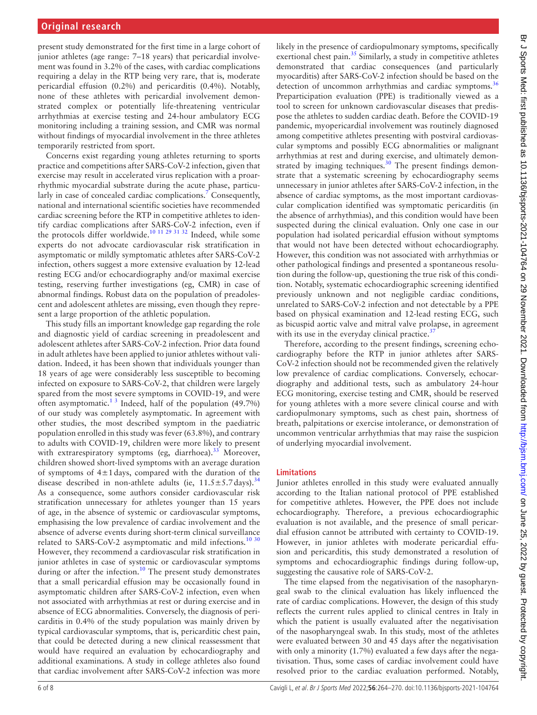present study demonstrated for the first time in a large cohort of junior athletes (age range: 7–18 years) that pericardial involvement was found in 3.2% of the cases, with cardiac complications requiring a delay in the RTP being very rare, that is, moderate pericardial effusion (0.2%) and pericarditis (0.4%). Notably, none of these athletes with pericardial involvement demonstrated complex or potentially life-threatening ventricular arrhythmias at exercise testing and 24-hour ambulatory ECG monitoring including a training session, and CMR was normal without findings of myocardial involvement in the three athletes temporarily restricted from sport.

Concerns exist regarding young athletes returning to sports practice and competitions after SARS-CoV-2 infection, given that exercise may result in accelerated virus replication with a proarrhythmic myocardial substrate during the acute phase, particularly in case of concealed cardiac complications.<sup>7</sup> Consequently, national and international scientific societies have recommended cardiac screening before the RTP in competitive athletes to identify cardiac complications after SARS-CoV-2 infection, even if the protocols differ worldwide.<sup>[10 11 29 31 32](#page-6-6)</sup> Indeed, while some experts do not advocate cardiovascular risk stratification in asymptomatic or mildly symptomatic athletes after SARS-CoV-2 infection, others suggest a more extensive evaluation by 12-lead resting ECG and/or echocardiography and/or maximal exercise testing, reserving further investigations (eg, CMR) in case of abnormal findings. Robust data on the population of preadolescent and adolescent athletes are missing, even though they represent a large proportion of the athletic population.

This study fills an important knowledge gap regarding the role and diagnostic yield of cardiac screening in preadolescent and adolescent athletes after SARS-CoV-2 infection. Prior data found in adult athletes have been applied to junior athletes without validation. Indeed, it has been shown that individuals younger than 18 years of age were considerably less susceptible to becoming infected on exposure to SARS-CoV-2, that children were largely spared from the most severe symptoms in COVID-19, and were often asymptomatic.<sup>13</sup> Indeed, half of the population  $(49.7%)$ of our study was completely asymptomatic. In agreement with other studies, the most described symptom in the paediatric population enrolled in this study was fever (63.8%), and contrary to adults with COVID-19, children were more likely to present with extrarespiratory symptoms (eg, diarrhoea).<sup>33</sup> Moreover, children showed short-lived symptoms with an average duration of symptoms of  $4\pm1$  days, compared with the duration of the disease described in non-athlete adults (ie,  $11.5 \pm 5.7$  days).<sup>[34](#page-7-15)</sup> As a consequence, some authors consider cardiovascular risk stratification unnecessary for athletes younger than 15 years of age, in the absence of systemic or cardiovascular symptoms, emphasising the low prevalence of cardiac involvement and the absence of adverse events during short-term clinical surveillance related to SARS-CoV-2 asymptomatic and mild infections.<sup>[10 30](#page-6-6)</sup> However, they recommend a cardiovascular risk stratification in junior athletes in case of systemic or cardiovascular symptoms during or after the infection.<sup>[10](#page-6-6)</sup> The present study demonstrates that a small pericardial effusion may be occasionally found in asymptomatic children after SARS-CoV-2 infection, even when not associated with arrhythmias at rest or during exercise and in absence of ECG abnormalities. Conversely, the diagnosis of pericarditis in 0.4% of the study population was mainly driven by typical cardiovascular symptoms, that is, pericarditic chest pain, that could be detected during a new clinical reassessment that would have required an evaluation by echocardiography and additional examinations. A study in college athletes also found that cardiac involvement after SARS-CoV-2 infection was more

likely in the presence of cardiopulmonary symptoms, specifically exertional chest pain.<sup>35</sup> Similarly, a study in competitive athletes demonstrated that cardiac consequences (and particularly myocarditis) after SARS-CoV-2 infection should be based on the detection of uncommon arrhythmias and cardiac symptoms.<sup>[36](#page-7-17)</sup> Preparticipation evaluation (PPE) is traditionally viewed as a tool to screen for unknown cardiovascular diseases that predispose the athletes to sudden cardiac death. Before the COVID-19 pandemic, myopericardial involvement was routinely diagnosed among competitive athletes presenting with postviral cardiovascular symptoms and possibly ECG abnormalities or malignant arrhythmias at rest and during exercise, and ultimately demon-strated by imaging techniques.<sup>[30](#page-7-13)</sup> The present findings demonstrate that a systematic screening by echocardiography seems unnecessary in junior athletes after SARS-CoV-2 infection, in the absence of cardiac symptoms, as the most important cardiovascular complication identified was symptomatic pericarditis (in the absence of arrhythmias), and this condition would have been suspected during the clinical evaluation. Only one case in our population had isolated pericardial effusion without symptoms that would not have been detected without echocardiography. However, this condition was not associated with arrhythmias or other pathological findings and presented a spontaneous resolution during the follow-up, questioning the true risk of this condition. Notably, systematic echocardiographic screening identified previously unknown and not negligible cardiac conditions, unrelated to SARS-CoV-2 infection and not detectable by a PPE based on physical examination and 12-lead resting ECG, such as bicuspid aortic valve and mitral valve prolapse, in agreement with its use in the everyday clinical practice. $3$ 

Therefore, according to the present findings, screening echocardiography before the RTP in junior athletes after SARS-CoV-2 infection should not be recommended given the relatively low prevalence of cardiac complications. Conversely, echocardiography and additional tests, such as ambulatory 24-hour ECG monitoring, exercise testing and CMR, should be reserved for young athletes with a more severe clinical course and with cardiopulmonary symptoms, such as chest pain, shortness of breath, palpitations or exercise intolerance, or demonstration of uncommon ventricular arrhythmias that may raise the suspicion of underlying myocardial involvement.

#### **Limitations**

Junior athletes enrolled in this study were evaluated annually according to the Italian national protocol of PPE established for competitive athletes. However, the PPE does not include echocardiography. Therefore, a previous echocardiographic evaluation is not available, and the presence of small pericardial effusion cannot be attributed with certainty to COVID-19. However, in junior athletes with moderate pericardial effusion and pericarditis, this study demonstrated a resolution of symptoms and echocardiographic findings during follow-up, suggesting the causative role of SARS-CoV-2.

The time elapsed from the negativisation of the nasopharyngeal swab to the clinical evaluation has likely influenced the rate of cardiac complications. However, the design of this study reflects the current rules applied to clinical centres in Italy in which the patient is usually evaluated after the negativisation of the nasopharyngeal swab. In this study, most of the athletes were evaluated between 30 and 45 days after the negativisation with only a minority (1.7%) evaluated a few days after the negativisation. Thus, some cases of cardiac involvement could have resolved prior to the cardiac evaluation performed. Notably,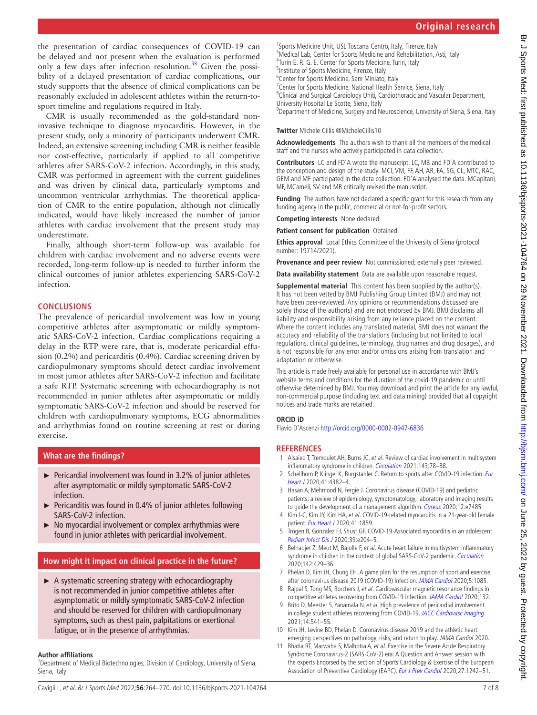the presentation of cardiac consequences of COVID-19 can be delayed and not present when the evaluation is performed only a few days after infection resolution.<sup>38</sup> Given the possibility of a delayed presentation of cardiac complications, our study supports that the absence of clinical complications can be reasonably excluded in adolescent athletes within the return-tosport timeline and regulations required in Italy.

CMR is usually recommended as the gold-standard noninvasive technique to diagnose myocarditis. However, in the present study, only a minority of participants underwent CMR. Indeed, an extensive screening including CMR is neither feasible nor cost-effective, particularly if applied to all competitive athletes after SARS-CoV-2 infection. Accordingly, in this study, CMR was performed in agreement with the current guidelines and was driven by clinical data, particularly symptoms and uncommon ventricular arrhythmias. The theoretical application of CMR to the entire population, although not clinically indicated, would have likely increased the number of junior athletes with cardiac involvement that the present study may underestimate.

Finally, although short-term follow-up was available for children with cardiac involvement and no adverse events were recorded, long-term follow-up is needed to further inform the clinical outcomes of junior athletes experiencing SARS-CoV-2 infection.

# **CONCLUSIONS**

The prevalence of pericardial involvement was low in young competitive athletes after asymptomatic or mildly symptomatic SARS-CoV-2 infection. Cardiac complications requiring a delay in the RTP were rare, that is, moderate pericardial effusion (0.2%) and pericarditis (0.4%). Cardiac screening driven by cardiopulmonary symptoms should detect cardiac involvement in most junior athletes after SARS-CoV-2 infection and facilitate a safe RTP. Systematic screening with echocardiography is not recommended in junior athletes after asymptomatic or mildly symptomatic SARS-CoV-2 infection and should be reserved for children with cardiopulmonary symptoms, ECG abnormalities and arrhythmias found on routine screening at rest or during exercise.

## **What are the findings?**

- ► Pericardial involvement was found in 3.2% of junior athletes after asymptomatic or mildly symptomatic SARS-CoV-2 infection.
- ► Pericarditis was found in 0.4% of junior athletes following SARS-CoV-2 infection.
- ► No myocardial involvement or complex arrhythmias were found in junior athletes with pericardial involvement.

# **How might it impact on clinical practice in the future?**

► A systematic screening strategy with echocardiography is not recommended in junior competitive athletes after asymptomatic or mildly symptomatic SARS-CoV-2 infection and should be reserved for children with cardiopulmonary symptoms, such as chest pain, palpitations or exertional fatigue, or in the presence of arrhythmias.

#### **Author affiliations**

<sup>1</sup>Department of Medical Biotechnologies, Division of Cardiology, University of Siena, Siena, Italy

<sup>2</sup>Sports Medicine Unit, USL Toscana Centro, Italy, Firenze, Italy <sup>3</sup>Medical Lab, Center for Sports Medicine and Rehabilitation, Asti, Italy <sup>4</sup>Turin E. R. G. E. Center for Sports Medicine, Turin, Italy <sup>5</sup>Institute of Sports Medicine, Firenze, Italy <sup>6</sup> Center for Sports Medicine, Sam Miniato, Italy <sup>7</sup> Center for Sports Medicine, National Health Service, Siena, Italy <sup>8</sup>Clinical and Surgical Cardiology Uniti, Cardiothoracic and Vascular Department, University Hospital Le Scotte, Siena, Italy

<sup>9</sup>Department of Medicine, Surgery and Neuroscience, University of Siena, Siena, Italy

#### **Twitter** Michele Cillis [@MicheleCillis10](https://twitter.com/MicheleCillis10)

**Acknowledgements** The authors wish to thank all the members of the medical staff and the nurses who actively participated in data collection.

**Contributors** LC and FD'A wrote the manuscript. LC, MB and FD'A contributed to the conception and design of the study. MCI, VM, FF, AH, AR, FA, SG, CL, MTC, RAC, GEM and MF participated in the data collection. FD'A analysed the data. MCapitani, MF, MCameli, SV and MB critically revised the manuscript.

**Funding** The authors have not declared a specific grant for this research from any funding agency in the public, commercial or not-for-profit sectors.

**Competing interests** None declared.

**Patient consent for publication** Obtained.

**Ethics approval** Local Ethics Committee of the University of Siena (protocol number: 19714/2021).

**Provenance and peer review** Not commissioned: externally peer reviewed.

**Data availability statement** Data are available upon reasonable request.

**Supplemental material** This content has been supplied by the author(s). It has not been vetted by BMJ Publishing Group Limited (BMJ) and may not have been peer-reviewed. Any opinions or recommendations discussed are solely those of the author(s) and are not endorsed by BMJ. BMJ disclaims all liability and responsibility arising from any reliance placed on the content. Where the content includes any translated material, BMJ does not warrant the accuracy and reliability of the translations (including but not limited to local regulations, clinical guidelines, terminology, drug names and drug dosages), and is not responsible for any error and/or omissions arising from translation and adaptation or otherwise.

This article is made freely available for personal use in accordance with BMJ's website terms and conditions for the duration of the covid-19 pandemic or until otherwise determined by BMJ. You may download and print the article for any lawful, non-commercial purpose (including text and data mining) provided that all copyright notices and trade marks are retained.

#### **ORCID iD**

Flavio D'Ascenzi <http://orcid.org/0000-0002-0947-6836>

#### **REFERENCES**

- <span id="page-6-0"></span>1 Alsaied T, Tremoulet AH, Burns JC, et al. Review of cardiac involvement in multisystem inflammatory syndrome in children. [Circulation](http://dx.doi.org/10.1161/CIRCULATIONAHA.120.049836) 2021;143:78-88.
- <span id="page-6-4"></span>2 Schellhorn P, Klingel K, Burgstahler C. Return to sports after COVID-19 infection. Eur [Heart J](http://dx.doi.org/10.1093/eurheartj/ehaa448) 2020;41:4382–4.
- 3 Hasan A, Mehmood N, Fergie J. Coronavirus disease (COVID-19) and pediatric patients: a review of epidemiology, symptomatology, laboratory and imaging results to guide the development of a management algorithm. [Cureus](http://dx.doi.org/10.7759/cureus.7485) 2020;12:e7485.
- <span id="page-6-1"></span>4 Kim I-C, Kim JY, Kim HA, et al. COVID-19-related myocarditis in a 21-year-old female patient. [Eur Heart J](http://dx.doi.org/10.1093/eurheartj/ehaa288) 2020;41:1859.
- 5 Trogen B, Gonzalez FJ, Shust GF. COVID-19-Associated myocarditis in an adolescent. [Pediatr Infect Dis J](http://dx.doi.org/10.1097/INF.0000000000002788) 2020;39:e204–5.
- 6 Belhadjer Z, Méot M, Bajolle F, et al. Acute heart failure in multisystem inflammatory syndrome in children in the context of global SARS-CoV-2 pandemic. [Circulation](http://dx.doi.org/10.1161/CIRCULATIONAHA.120.048360) 2020;142:429–36.
- <span id="page-6-2"></span>7 Phelan D, Kim JH, Chung EH. A game plan for the resumption of sport and exercise after coronavirus disease 2019 (COVID-19) infection. [JAMA Cardiol](http://dx.doi.org/10.1001/jamacardio.2020.2136) 2020;5:1085.
- <span id="page-6-3"></span>8 Rajpal S, Tong MS, Borchers J, et al. Cardiovascular magnetic resonance findings in competitive athletes recovering from COVID-19 infection. [JAMA Cardiol](http://dx.doi.org/10.1001/jamacardio.2020.4916) 2020;132.
- <span id="page-6-5"></span>9 Brito D, Meester S, Yanamala N, et al. High prevalence of pericardial involvement in college student athletes recovering from COVID-19. [JACC Cardiovasc Imaging](http://dx.doi.org/10.1016/j.jcmg.2020.10.023) 2021;14:541–55.
- <span id="page-6-6"></span>10 Kim JH, Levine BD, Phelan D. Coronavirus disease 2019 and the athletic heart: emerging perspectives on pathology, risks, and return to play. JAMA Cardiol 2020.
- 11 Bhatia RT, Marwaha S, Malhotra A, et al. Exercise in the Severe Acute Respiratory Syndrome Coronavirus-2 (SARS-CoV-2) era: A Question and Answer session with the experts Endorsed by the section of Sports Cardiology & Exercise of the European Association of Preventive Cardiology (EAPC). [Eur J Prev Cardiol](http://dx.doi.org/10.1177/2047487320930596) 2020;27:1242-51.